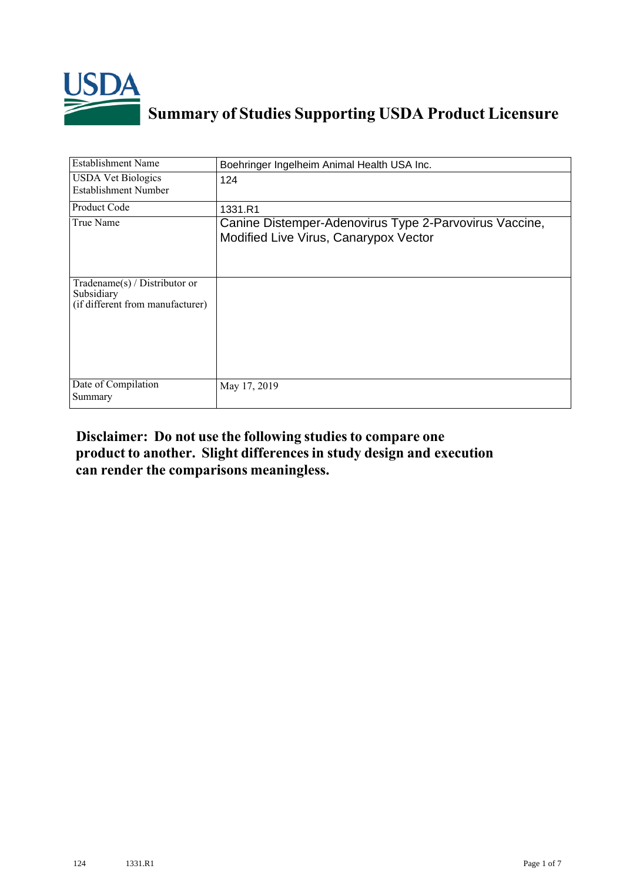

## **Summary of Studies Supporting USDA Product Licensure**

| <b>Establishment Name</b>                                                       | Boehringer Ingelheim Animal Health USA Inc.                                                     |
|---------------------------------------------------------------------------------|-------------------------------------------------------------------------------------------------|
| <b>USDA Vet Biologics</b><br><b>Establishment Number</b>                        | 124                                                                                             |
| Product Code                                                                    | 1331.R1                                                                                         |
| True Name                                                                       | Canine Distemper-Adenovirus Type 2-Parvovirus Vaccine,<br>Modified Live Virus, Canarypox Vector |
| Tradename(s) / Distributor or<br>Subsidiary<br>(if different from manufacturer) |                                                                                                 |
| Date of Compilation<br>Summary                                                  | May 17, 2019                                                                                    |

## **Disclaimer: Do not use the following studiesto compare one product to another. Slight differencesin study design and execution can render the comparisons meaningless.**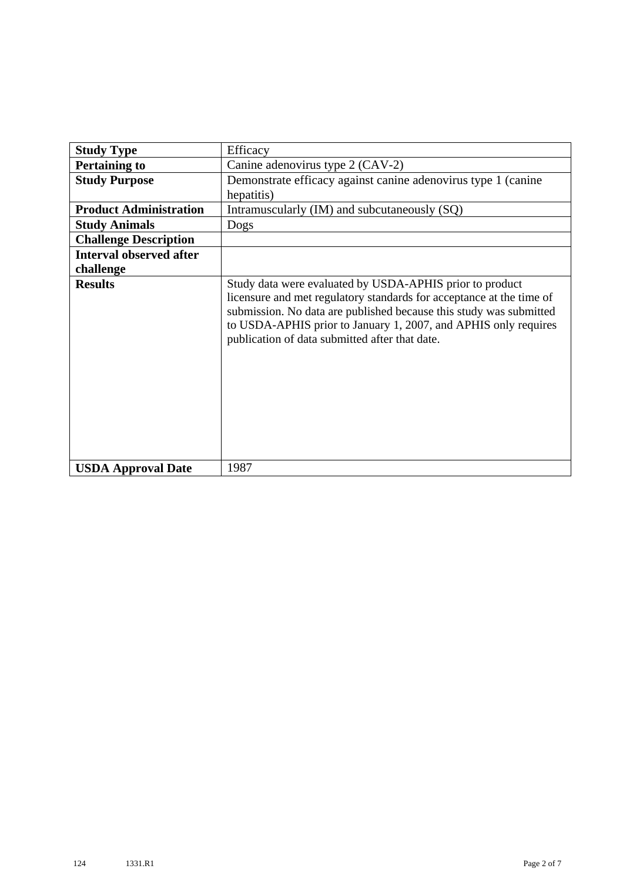| <b>Study Type</b>              | Efficacy                                                                                                                                                                                                                                                                                                                    |
|--------------------------------|-----------------------------------------------------------------------------------------------------------------------------------------------------------------------------------------------------------------------------------------------------------------------------------------------------------------------------|
| <b>Pertaining to</b>           | Canine adenovirus type 2 (CAV-2)                                                                                                                                                                                                                                                                                            |
| <b>Study Purpose</b>           | Demonstrate efficacy against canine adenovirus type 1 (canine                                                                                                                                                                                                                                                               |
|                                | hepatitis)                                                                                                                                                                                                                                                                                                                  |
| <b>Product Administration</b>  | Intramuscularly (IM) and subcutaneously (SQ)                                                                                                                                                                                                                                                                                |
| <b>Study Animals</b>           | Dogs                                                                                                                                                                                                                                                                                                                        |
| <b>Challenge Description</b>   |                                                                                                                                                                                                                                                                                                                             |
| <b>Interval observed after</b> |                                                                                                                                                                                                                                                                                                                             |
| challenge                      |                                                                                                                                                                                                                                                                                                                             |
| <b>Results</b>                 | Study data were evaluated by USDA-APHIS prior to product<br>licensure and met regulatory standards for acceptance at the time of<br>submission. No data are published because this study was submitted<br>to USDA-APHIS prior to January 1, 2007, and APHIS only requires<br>publication of data submitted after that date. |
| <b>USDA Approval Date</b>      | 1987                                                                                                                                                                                                                                                                                                                        |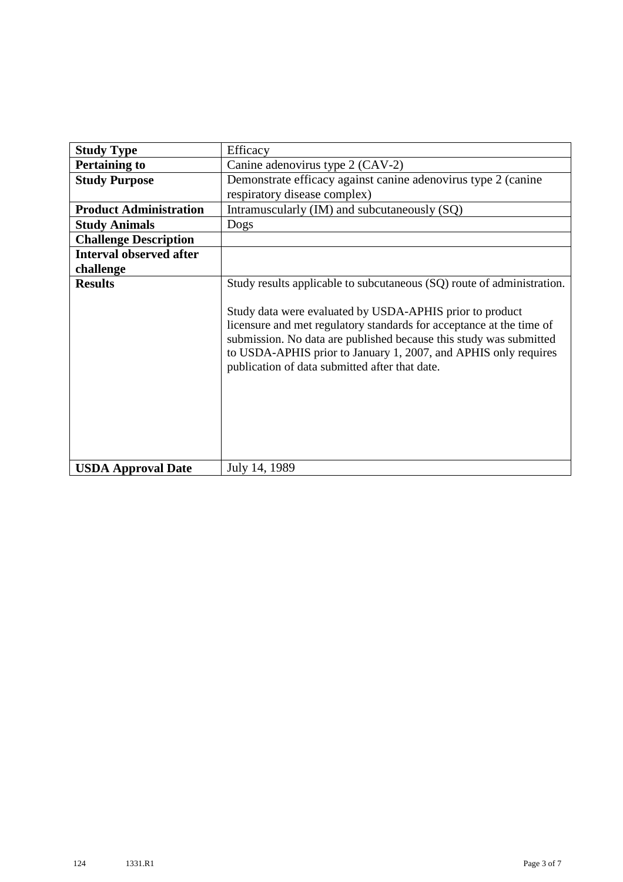| <b>Study Type</b>              | Efficacy                                                                                                                                                                                                                                                                                                                                                                                              |
|--------------------------------|-------------------------------------------------------------------------------------------------------------------------------------------------------------------------------------------------------------------------------------------------------------------------------------------------------------------------------------------------------------------------------------------------------|
| <b>Pertaining to</b>           | Canine adenovirus type 2 (CAV-2)                                                                                                                                                                                                                                                                                                                                                                      |
| <b>Study Purpose</b>           | Demonstrate efficacy against canine adenovirus type 2 (canine                                                                                                                                                                                                                                                                                                                                         |
|                                | respiratory disease complex)                                                                                                                                                                                                                                                                                                                                                                          |
| <b>Product Administration</b>  | Intramuscularly (IM) and subcutaneously (SQ)                                                                                                                                                                                                                                                                                                                                                          |
| <b>Study Animals</b>           | Dogs                                                                                                                                                                                                                                                                                                                                                                                                  |
| <b>Challenge Description</b>   |                                                                                                                                                                                                                                                                                                                                                                                                       |
| <b>Interval observed after</b> |                                                                                                                                                                                                                                                                                                                                                                                                       |
| challenge                      |                                                                                                                                                                                                                                                                                                                                                                                                       |
| <b>Results</b>                 | Study results applicable to subcutaneous (SQ) route of administration.<br>Study data were evaluated by USDA-APHIS prior to product<br>licensure and met regulatory standards for acceptance at the time of<br>submission. No data are published because this study was submitted<br>to USDA-APHIS prior to January 1, 2007, and APHIS only requires<br>publication of data submitted after that date. |
| <b>USDA Approval Date</b>      | July 14, 1989                                                                                                                                                                                                                                                                                                                                                                                         |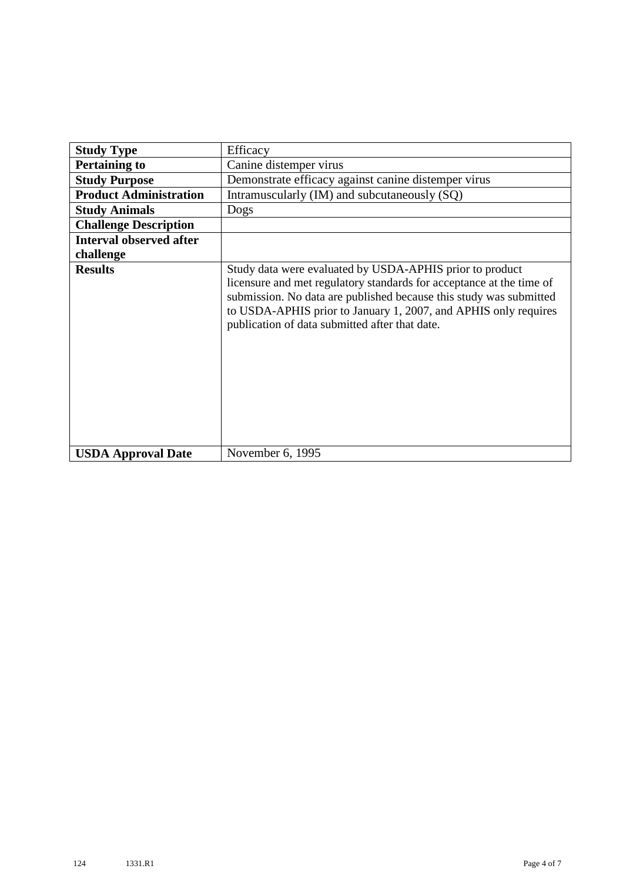| <b>Study Type</b>              | Efficacy                                                                                                                                                                                                                                                                                                                    |
|--------------------------------|-----------------------------------------------------------------------------------------------------------------------------------------------------------------------------------------------------------------------------------------------------------------------------------------------------------------------------|
| <b>Pertaining to</b>           | Canine distemper virus                                                                                                                                                                                                                                                                                                      |
| <b>Study Purpose</b>           | Demonstrate efficacy against canine distemper virus                                                                                                                                                                                                                                                                         |
| <b>Product Administration</b>  | Intramuscularly (IM) and subcutaneously (SQ)                                                                                                                                                                                                                                                                                |
| <b>Study Animals</b>           | Dogs                                                                                                                                                                                                                                                                                                                        |
| <b>Challenge Description</b>   |                                                                                                                                                                                                                                                                                                                             |
| <b>Interval observed after</b> |                                                                                                                                                                                                                                                                                                                             |
| challenge                      |                                                                                                                                                                                                                                                                                                                             |
| <b>Results</b>                 | Study data were evaluated by USDA-APHIS prior to product<br>licensure and met regulatory standards for acceptance at the time of<br>submission. No data are published because this study was submitted<br>to USDA-APHIS prior to January 1, 2007, and APHIS only requires<br>publication of data submitted after that date. |
| <b>USDA Approval Date</b>      | November 6, 1995                                                                                                                                                                                                                                                                                                            |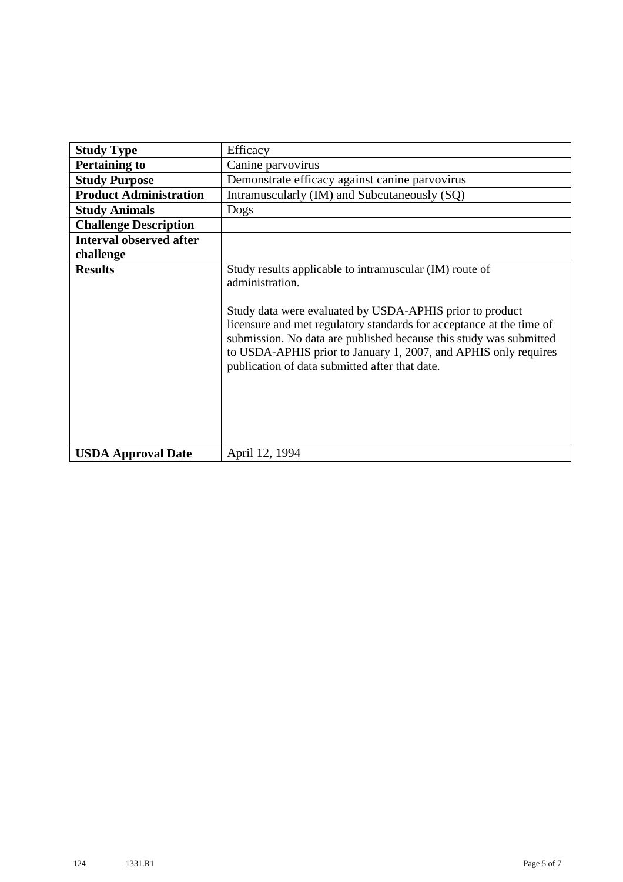| <b>Study Type</b>              | Efficacy                                                                                                                                                                                                                                                                                                                                                                                                  |
|--------------------------------|-----------------------------------------------------------------------------------------------------------------------------------------------------------------------------------------------------------------------------------------------------------------------------------------------------------------------------------------------------------------------------------------------------------|
| <b>Pertaining to</b>           | Canine parvovirus                                                                                                                                                                                                                                                                                                                                                                                         |
| <b>Study Purpose</b>           | Demonstrate efficacy against canine parvovirus                                                                                                                                                                                                                                                                                                                                                            |
| <b>Product Administration</b>  | Intramuscularly (IM) and Subcutaneously (SQ)                                                                                                                                                                                                                                                                                                                                                              |
| <b>Study Animals</b>           | Dogs                                                                                                                                                                                                                                                                                                                                                                                                      |
| <b>Challenge Description</b>   |                                                                                                                                                                                                                                                                                                                                                                                                           |
| <b>Interval observed after</b> |                                                                                                                                                                                                                                                                                                                                                                                                           |
| challenge                      |                                                                                                                                                                                                                                                                                                                                                                                                           |
| <b>Results</b>                 | Study results applicable to intramuscular (IM) route of<br>administration.<br>Study data were evaluated by USDA-APHIS prior to product<br>licensure and met regulatory standards for acceptance at the time of<br>submission. No data are published because this study was submitted<br>to USDA-APHIS prior to January 1, 2007, and APHIS only requires<br>publication of data submitted after that date. |
| <b>USDA Approval Date</b>      | April 12, 1994                                                                                                                                                                                                                                                                                                                                                                                            |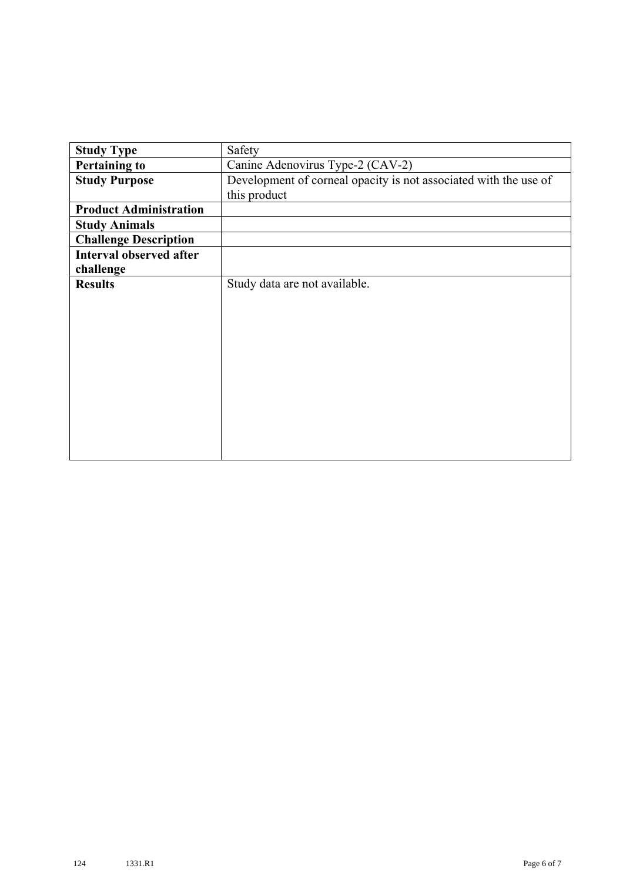| <b>Study Type</b>              | Safety                                                           |
|--------------------------------|------------------------------------------------------------------|
| <b>Pertaining to</b>           | Canine Adenovirus Type-2 (CAV-2)                                 |
| <b>Study Purpose</b>           | Development of corneal opacity is not associated with the use of |
|                                | this product                                                     |
| <b>Product Administration</b>  |                                                                  |
| <b>Study Animals</b>           |                                                                  |
| <b>Challenge Description</b>   |                                                                  |
| <b>Interval observed after</b> |                                                                  |
| challenge                      |                                                                  |
| <b>Results</b>                 | Study data are not available.                                    |
|                                |                                                                  |
|                                |                                                                  |
|                                |                                                                  |
|                                |                                                                  |
|                                |                                                                  |
|                                |                                                                  |
|                                |                                                                  |
|                                |                                                                  |
|                                |                                                                  |
|                                |                                                                  |
|                                |                                                                  |